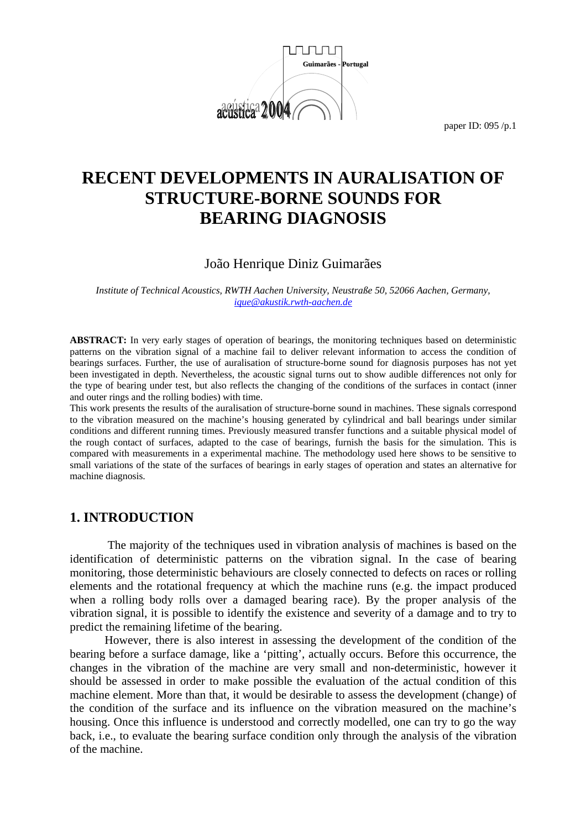

# **RECENT DEVELOPMENTS IN AURALISATION OF STRUCTURE-BORNE SOUNDS FOR BEARING DIAGNOSIS**

### João Henrique Diniz Guimarães

*Institute of Technical Acoustics, RWTH Aachen University, Neustraße 50, 52066 Aachen, Germany, ique@akustik.rwth-aachen.de*

**ABSTRACT:** In very early stages of operation of bearings, the monitoring techniques based on deterministic patterns on the vibration signal of a machine fail to deliver relevant information to access the condition of bearings surfaces. Further, the use of auralisation of structure-borne sound for diagnosis purposes has not yet been investigated in depth. Nevertheless, the acoustic signal turns out to show audible differences not only for the type of bearing under test, but also reflects the changing of the conditions of the surfaces in contact (inner and outer rings and the rolling bodies) with time.

This work presents the results of the auralisation of structure-borne sound in machines. These signals correspond to the vibration measured on the machine's housing generated by cylindrical and ball bearings under similar conditions and different running times. Previously measured transfer functions and a suitable physical model of the rough contact of surfaces, adapted to the case of bearings, furnish the basis for the simulation. This is compared with measurements in a experimental machine. The methodology used here shows to be sensitive to small variations of the state of the surfaces of bearings in early stages of operation and states an alternative for machine diagnosis.

### **1. INTRODUCTION**

 The majority of the techniques used in vibration analysis of machines is based on the identification of deterministic patterns on the vibration signal. In the case of bearing monitoring, those deterministic behaviours are closely connected to defects on races or rolling elements and the rotational frequency at which the machine runs (e.g. the impact produced when a rolling body rolls over a damaged bearing race). By the proper analysis of the vibration signal, it is possible to identify the existence and severity of a damage and to try to predict the remaining lifetime of the bearing.

However, there is also interest in assessing the development of the condition of the bearing before a surface damage, like a 'pitting', actually occurs. Before this occurrence, the changes in the vibration of the machine are very small and non-deterministic, however it should be assessed in order to make possible the evaluation of the actual condition of this machine element. More than that, it would be desirable to assess the development (change) of the condition of the surface and its influence on the vibration measured on the machine's housing. Once this influence is understood and correctly modelled, one can try to go the way back, i.e., to evaluate the bearing surface condition only through the analysis of the vibration of the machine.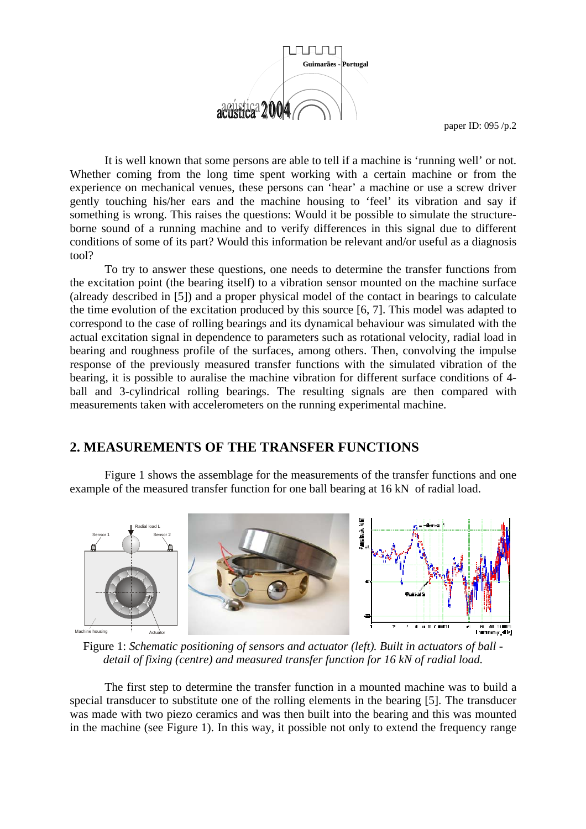

It is well known that some persons are able to tell if a machine is 'running well' or not. Whether coming from the long time spent working with a certain machine or from the experience on mechanical venues, these persons can 'hear' a machine or use a screw driver gently touching his/her ears and the machine housing to 'feel' its vibration and say if something is wrong. This raises the questions: Would it be possible to simulate the structureborne sound of a running machine and to verify differences in this signal due to different conditions of some of its part? Would this information be relevant and/or useful as a diagnosis tool?

To try to answer these questions, one needs to determine the transfer functions from the excitation point (the bearing itself) to a vibration sensor mounted on the machine surface (already described in [5]) and a proper physical model of the contact in bearings to calculate the time evolution of the excitation produced by this source [6, 7]. This model was adapted to correspond to the case of rolling bearings and its dynamical behaviour was simulated with the actual excitation signal in dependence to parameters such as rotational velocity, radial load in bearing and roughness profile of the surfaces, among others. Then, convolving the impulse response of the previously measured transfer functions with the simulated vibration of the bearing, it is possible to auralise the machine vibration for different surface conditions of 4 ball and 3-cylindrical rolling bearings. The resulting signals are then compared with measurements taken with accelerometers on the running experimental machine.

### **2. MEASUREMENTS OF THE TRANSFER FUNCTIONS**

 Figure 1 shows the assemblage for the measurements of the transfer functions and one example of the measured transfer function for one ball bearing at 16 kN of radial load.



Figure 1: *Schematic positioning of sensors and actuator (left). Built in actuators of ball detail of fixing (centre) and measured transfer function for 16 kN of radial load.* 

The first step to determine the transfer function in a mounted machine was to build a special transducer to substitute one of the rolling elements in the bearing [5]. The transducer was made with two piezo ceramics and was then built into the bearing and this was mounted in the machine (see Figure 1). In this way, it possible not only to extend the frequency range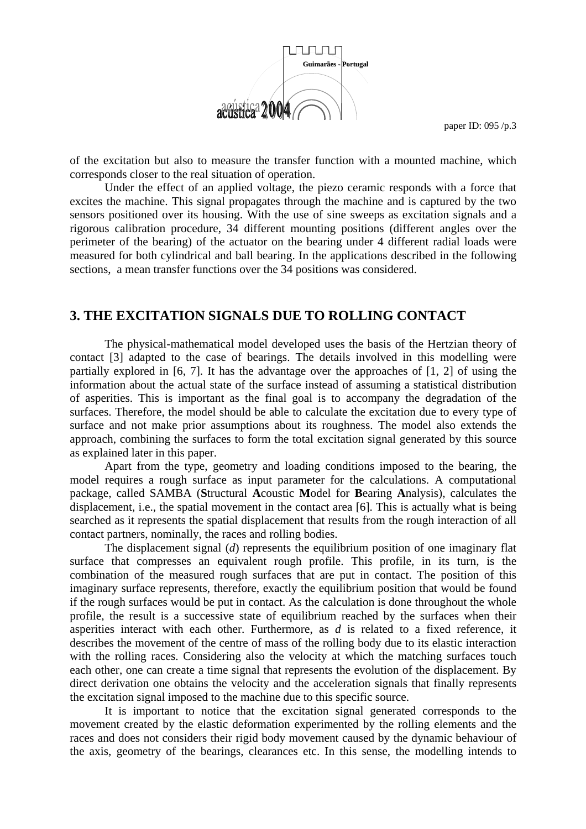

of the excitation but also to measure the transfer function with a mounted machine, which corresponds closer to the real situation of operation.

 Under the effect of an applied voltage, the piezo ceramic responds with a force that excites the machine. This signal propagates through the machine and is captured by the two sensors positioned over its housing. With the use of sine sweeps as excitation signals and a rigorous calibration procedure, 34 different mounting positions (different angles over the perimeter of the bearing) of the actuator on the bearing under 4 different radial loads were measured for both cylindrical and ball bearing. In the applications described in the following sections, a mean transfer functions over the 34 positions was considered.

### **3. THE EXCITATION SIGNALS DUE TO ROLLING CONTACT**

The physical-mathematical model developed uses the basis of the Hertzian theory of contact [3] adapted to the case of bearings. The details involved in this modelling were partially explored in [6, 7]. It has the advantage over the approaches of [1, 2] of using the information about the actual state of the surface instead of assuming a statistical distribution of asperities. This is important as the final goal is to accompany the degradation of the surfaces. Therefore, the model should be able to calculate the excitation due to every type of surface and not make prior assumptions about its roughness. The model also extends the approach, combining the surfaces to form the total excitation signal generated by this source as explained later in this paper.

 Apart from the type, geometry and loading conditions imposed to the bearing, the model requires a rough surface as input parameter for the calculations. A computational package, called SAMBA (**S**tructural **A**coustic **M**odel for **B**earing **A**nalysis), calculates the displacement, i.e., the spatial movement in the contact area [6]. This is actually what is being searched as it represents the spatial displacement that results from the rough interaction of all contact partners, nominally, the races and rolling bodies.

The displacement signal (*d*) represents the equilibrium position of one imaginary flat surface that compresses an equivalent rough profile. This profile, in its turn, is the combination of the measured rough surfaces that are put in contact. The position of this imaginary surface represents, therefore, exactly the equilibrium position that would be found if the rough surfaces would be put in contact. As the calculation is done throughout the whole profile, the result is a successive state of equilibrium reached by the surfaces when their asperities interact with each other. Furthermore, as *d* is related to a fixed reference, it describes the movement of the centre of mass of the rolling body due to its elastic interaction with the rolling races. Considering also the velocity at which the matching surfaces touch each other, one can create a time signal that represents the evolution of the displacement. By direct derivation one obtains the velocity and the acceleration signals that finally represents the excitation signal imposed to the machine due to this specific source.

It is important to notice that the excitation signal generated corresponds to the movement created by the elastic deformation experimented by the rolling elements and the races and does not considers their rigid body movement caused by the dynamic behaviour of the axis, geometry of the bearings, clearances etc. In this sense, the modelling intends to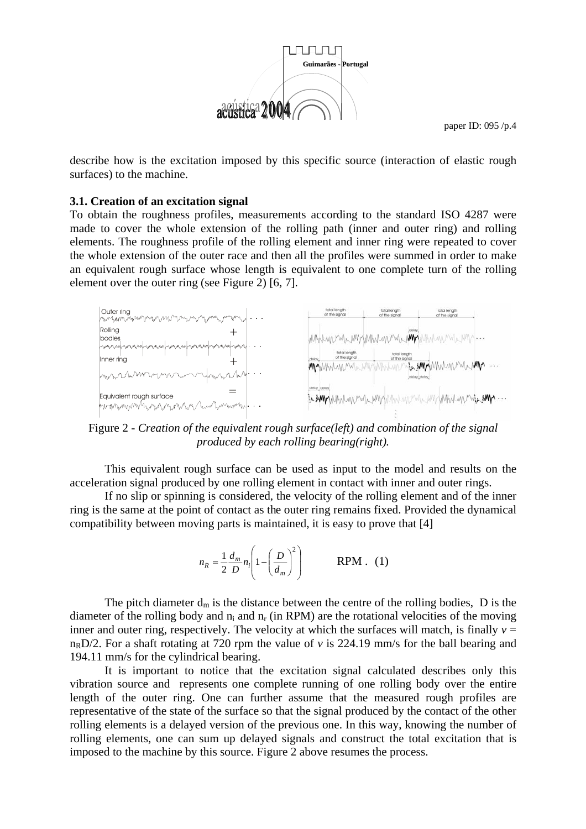

describe how is the excitation imposed by this specific source (interaction of elastic rough surfaces) to the machine.

#### **3.1. Creation of an excitation signal**

To obtain the roughness profiles, measurements according to the standard ISO 4287 were made to cover the whole extension of the rolling path (inner and outer ring) and rolling elements. The roughness profile of the rolling element and inner ring were repeated to cover the whole extension of the outer race and then all the profiles were summed in order to make an equivalent rough surface whose length is equivalent to one complete turn of the rolling element over the outer ring (see Figure 2) [6, 7].



Figure 2 - *Creation of the equivalent rough surface(left) and combination of the signal produced by each rolling bearing(right).* 

This equivalent rough surface can be used as input to the model and results on the acceleration signal produced by one rolling element in contact with inner and outer rings.

 If no slip or spinning is considered, the velocity of the rolling element and of the inner ring is the same at the point of contact as the outer ring remains fixed. Provided the dynamical compatibility between moving parts is maintained, it is easy to prove that [4]

$$
n_R = \frac{1}{2} \frac{d_m}{D} n_i \left( 1 - \left( \frac{D}{d_m} \right)^2 \right) \qquad \text{RPM} \quad (1)
$$

The pitch diameter  $d_m$  is the distance between the centre of the rolling bodies, D is the diameter of the rolling body and  $n_i$  and  $n_r$  (in RPM) are the rotational velocities of the moving inner and outer ring, respectively. The velocity at which the surfaces will match, is finally  $v =$  $n<sub>B</sub>D/2$ . For a shaft rotating at 720 rpm the value of *v* is 224.19 mm/s for the ball bearing and 194.11 mm/s for the cylindrical bearing.

 It is important to notice that the excitation signal calculated describes only this vibration source and represents one complete running of one rolling body over the entire length of the outer ring. One can further assume that the measured rough profiles are representative of the state of the surface so that the signal produced by the contact of the other rolling elements is a delayed version of the previous one. In this way, knowing the number of rolling elements, one can sum up delayed signals and construct the total excitation that is imposed to the machine by this source. Figure 2 above resumes the process.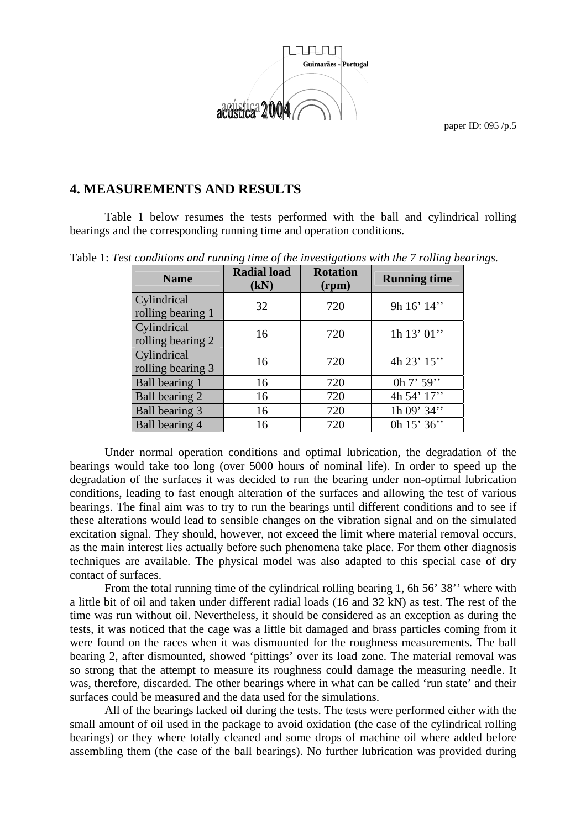

## **4. MEASUREMENTS AND RESULTS**

Table 1 below resumes the tests performed with the ball and cylindrical rolling bearings and the corresponding running time and operation conditions.

Table 1: *Test conditions and running time of the investigations with the 7 rolling bearings.*

| <b>Name</b>                      | <b>Radial load</b><br>(kN) | <b>Rotation</b><br>(rpm) | <b>Running time</b> |
|----------------------------------|----------------------------|--------------------------|---------------------|
| Cylindrical<br>rolling bearing 1 | 32                         | 720                      | 9h $16'$ $14''$     |
| Cylindrical<br>rolling bearing 2 | 16                         | 720                      | 1h 13' 01"          |
| Cylindrical<br>rolling bearing 3 | 16                         | 720                      | 4h 23' 15"          |
| Ball bearing 1                   | 16                         | 720                      | 0h $7'$ 59"         |
| Ball bearing 2                   | 16                         | 720                      | 4h 54' 17"          |
| Ball bearing 3                   | 16                         | 720                      | 1h 09' 34"          |
| Ball bearing 4                   | 16                         | 720                      | 0h $15'36'$         |

Under normal operation conditions and optimal lubrication, the degradation of the bearings would take too long (over 5000 hours of nominal life). In order to speed up the degradation of the surfaces it was decided to run the bearing under non-optimal lubrication conditions, leading to fast enough alteration of the surfaces and allowing the test of various bearings. The final aim was to try to run the bearings until different conditions and to see if these alterations would lead to sensible changes on the vibration signal and on the simulated excitation signal. They should, however, not exceed the limit where material removal occurs, as the main interest lies actually before such phenomena take place. For them other diagnosis techniques are available. The physical model was also adapted to this special case of dry contact of surfaces.

From the total running time of the cylindrical rolling bearing 1, 6h 56' 38'' where with a little bit of oil and taken under different radial loads (16 and 32 kN) as test. The rest of the time was run without oil. Nevertheless, it should be considered as an exception as during the tests, it was noticed that the cage was a little bit damaged and brass particles coming from it were found on the races when it was dismounted for the roughness measurements. The ball bearing 2, after dismounted, showed 'pittings' over its load zone. The material removal was so strong that the attempt to measure its roughness could damage the measuring needle. It was, therefore, discarded. The other bearings where in what can be called 'run state' and their surfaces could be measured and the data used for the simulations.

All of the bearings lacked oil during the tests. The tests were performed either with the small amount of oil used in the package to avoid oxidation (the case of the cylindrical rolling bearings) or they where totally cleaned and some drops of machine oil where added before assembling them (the case of the ball bearings). No further lubrication was provided during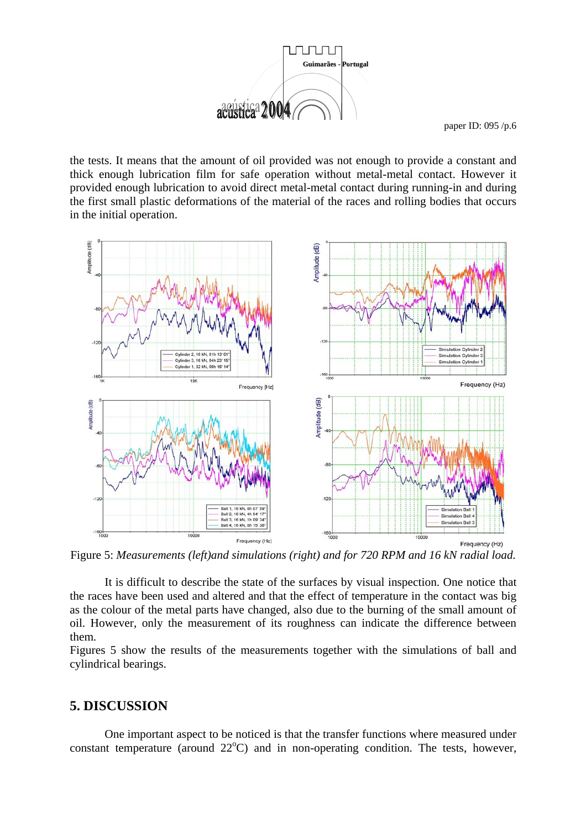

the tests. It means that the amount of oil provided was not enough to provide a constant and thick enough lubrication film for safe operation without metal-metal contact. However it provided enough lubrication to avoid direct metal-metal contact during running-in and during the first small plastic deformations of the material of the races and rolling bodies that occurs in the initial operation.



Figure 5: *Measurements (left)and simulations (right) and for 720 RPM and 16 kN radial load.* 

It is difficult to describe the state of the surfaces by visual inspection. One notice that the races have been used and altered and that the effect of temperature in the contact was big as the colour of the metal parts have changed, also due to the burning of the small amount of oil. However, only the measurement of its roughness can indicate the difference between them.

Figures 5 show the results of the measurements together with the simulations of ball and cylindrical bearings.

### **5. DISCUSSION**

 One important aspect to be noticed is that the transfer functions where measured under constant temperature (around  $22^{\circ}$ C) and in non-operating condition. The tests, however,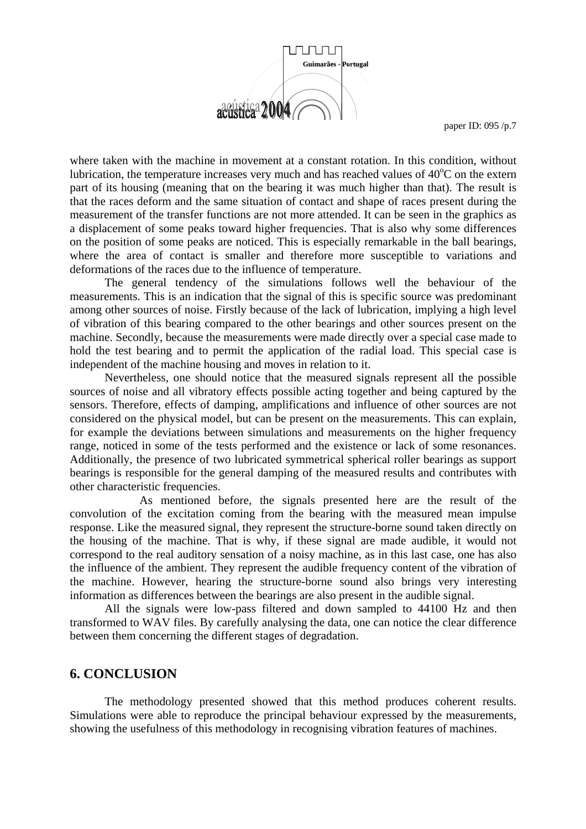

where taken with the machine in movement at a constant rotation. In this condition, without lubrication, the temperature increases very much and has reached values of  $40^{\circ}$ C on the extern part of its housing (meaning that on the bearing it was much higher than that). The result is that the races deform and the same situation of contact and shape of races present during the measurement of the transfer functions are not more attended. It can be seen in the graphics as a displacement of some peaks toward higher frequencies. That is also why some differences on the position of some peaks are noticed. This is especially remarkable in the ball bearings, where the area of contact is smaller and therefore more susceptible to variations and deformations of the races due to the influence of temperature.

 The general tendency of the simulations follows well the behaviour of the measurements. This is an indication that the signal of this is specific source was predominant among other sources of noise. Firstly because of the lack of lubrication, implying a high level of vibration of this bearing compared to the other bearings and other sources present on the machine. Secondly, because the measurements were made directly over a special case made to hold the test bearing and to permit the application of the radial load. This special case is independent of the machine housing and moves in relation to it.

 Nevertheless, one should notice that the measured signals represent all the possible sources of noise and all vibratory effects possible acting together and being captured by the sensors. Therefore, effects of damping, amplifications and influence of other sources are not considered on the physical model, but can be present on the measurements. This can explain, for example the deviations between simulations and measurements on the higher frequency range, noticed in some of the tests performed and the existence or lack of some resonances. Additionally, the presence of two lubricated symmetrical spherical roller bearings as support bearings is responsible for the general damping of the measured results and contributes with other characteristic frequencies.

 As mentioned before, the signals presented here are the result of the convolution of the excitation coming from the bearing with the measured mean impulse response. Like the measured signal, they represent the structure-borne sound taken directly on the housing of the machine. That is why, if these signal are made audible, it would not correspond to the real auditory sensation of a noisy machine, as in this last case, one has also the influence of the ambient. They represent the audible frequency content of the vibration of the machine. However, hearing the structure-borne sound also brings very interesting information as differences between the bearings are also present in the audible signal.

 All the signals were low-pass filtered and down sampled to 44100 Hz and then transformed to WAV files. By carefully analysing the data, one can notice the clear difference between them concerning the different stages of degradation.

#### **6. CONCLUSION**

 The methodology presented showed that this method produces coherent results. Simulations were able to reproduce the principal behaviour expressed by the measurements, showing the usefulness of this methodology in recognising vibration features of machines.